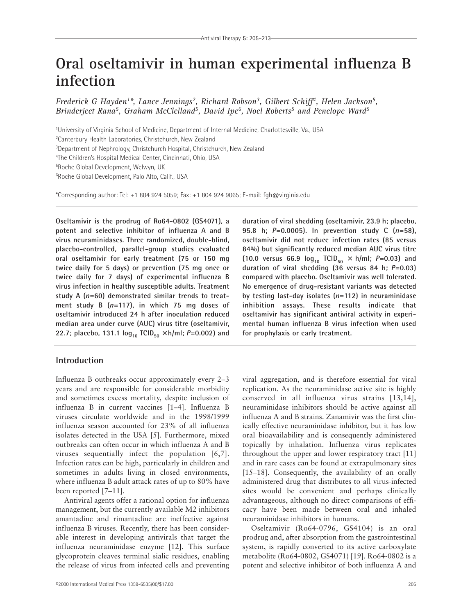# **Oral oseltamivir in human experimental influenza B infection**

*Frederick G Hayden1\*, Lance Jennings2, Richard Robson3, Gilbert Schiff4, Helen Jackson5, Brinderjeet Rana5, Graham McClelland5, David Ipe6, Noel Roberts5 and Penelope Ward5*

<sup>1</sup>University of Virginia School of Medicine, Department of Internal Medicine, Charlottesville, Va., USA

2 Canterbury Health Laboratories, Christchurch, New Zealand

<sup>3</sup>Department of Nephrology, Christchurch Hospital, Christchurch, New Zealand

4 The Children's Hospital Medical Center, Cincinnati, Ohio, USA

5 Roche Global Development, Welwyn, UK

6 Roche Global Development, Palo Alto, Calif., USA

\*Corresponding author: Tel: +1 804 924 5059; Fax: +1 804 924 9065; E-mail: fgh@virginia.edu

**Oseltamivir is the prodrug of Ro64-0802 (GS4071), a potent and selective inhibitor of influenza A and B virus neuraminidases. Three randomized, double-blind, placebo-controlled, parallel-group studies evaluated oral oseltamivir for early treatment (75 or 150 mg twice daily for 5 days) or prevention (75 mg once or twice daily for 7 days) of experimental influenza B virus infection in healthy susceptible adults. Treatment study A (***n***=60) demonstrated similar trends to treatment study B (***n***=117), in which 75 mg doses of oseltamivir introduced 24 h after inoculation reduced median area under curve (AUC) virus titre (oseltamivir, 22.7; placebo, 131.1 log**<sub>10</sub>  $TCID_{50} \times h/ml$ ;  $P=0.002$ ) and

### **Introduction**

Influenza B outbreaks occur approximately every 2–3 years and are responsible for considerable morbidity and sometimes excess mortality, despite inclusion of influenza B in current vaccines [1–4]. Influenza B viruses circulate worldwide and in the 1998/1999 influenza season accounted for 23% of all influenza isolates detected in the USA [5]. Furthermore, mixed outbreaks can often occur in which influenza A and B viruses sequentially infect the population [6,7]. Infection rates can be high, particularly in children and sometimes in adults living in closed environments, where influenza B adult attack rates of up to 80% have been reported [7–11].

Antiviral agents offer a rational option for influenza management, but the currently available M2 inhibitors amantadine and rimantadine are ineffective against influenza B viruses. Recently, there has been considerable interest in developing antivirals that target the influenza neuraminidase enzyme [12]. This surface glycoprotein cleaves terminal sialic residues, enabling the release of virus from infected cells and preventing

©2000 International Medical Press 1359-6535/00/\$17.00 205

**duration of viral shedding (oseltamivir, 23.9 h; placebo, 95.8 h;** *P***=0.0005). In prevention study C (***n***=58), oseltamivir did not reduce infection rates (85 versus 84%) but significantly reduced median AUC virus titre**  $(10.0 \text{ versus } 66.9 \text{ log}_{10} \text{ TCID}_{50} \times \text{ h/ml}; P=0.03)$  and **duration of viral shedding (36 versus 84 h;** *P***=0.03) compared with placebo. Oseltamivir was well tolerated. No emergence of drug-resistant variants was detected by testing last-day isolates (***n***=112) in neuraminidase inhibition assays. These results indicate that oseltamivir has significant antiviral activity in experimental human influenza B virus infection when used for prophylaxis or early treatment.**

viral aggregation, and is therefore essential for viral replication. As the neuraminidase active site is highly conserved in all influenza virus strains [13,14], neuraminidase inhibitors should be active against all influenza A and B strains. Zanamivir was the first clinically effective neuraminidase inhibitor, but it has low oral bioavailability and is consequently administered topically by inhalation. Influenza virus replicates throughout the upper and lower respiratory tract [11] and in rare cases can be found at extrapulmonary sites [15–18]. Consequently, the availability of an orally administered drug that distributes to all virus-infected sites would be convenient and perhaps clinically advantageous, although no direct comparisons of efficacy have been made between oral and inhaled neuraminidase inhibitors in humans.

Oseltamivir (Ro64-0796, GS4104) is an oral prodrug and, after absorption from the gastrointestinal system, is rapidly converted to its active carboxylate metabolite (Ro64-0802, GS4071) [19]. Ro64-0802 is a potent and selective inhibitor of both influenza A and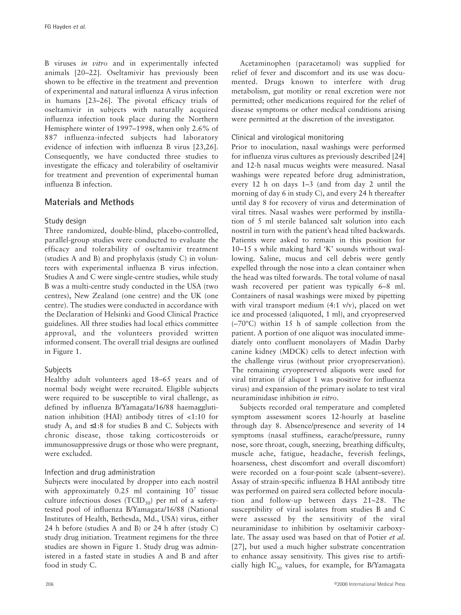B viruses *in vitro* and in experimentally infected animals [20–22]. Oseltamivir has previously been shown to be effective in the treatment and prevention of experimental and natural influenza A virus infection in humans [23–26]. The pivotal efficacy trials of oseltamivir in subjects with naturally acquired influenza infection took place during the Northern Hemisphere winter of 1997–1998, when only 2.6% of 887 influenza-infected subjects had laboratory evidence of infection with influenza B virus [23,26]. Consequently, we have conducted three studies to investigate the efficacy and tolerability of oseltamivir for treatment and prevention of experimental human influenza B infection.

# **Materials and Methods**

## Study design

Three randomized, double-blind, placebo-controlled, parallel-group studies were conducted to evaluate the efficacy and tolerability of oseltamivir treatment (studies A and B) and prophylaxis (study C) in volunteers with experimental influenza B virus infection. Studies A and C were single-centre studies, while study B was a multi-centre study conducted in the USA (two centres), New Zealand (one centre) and the UK (one centre). The studies were conducted in accordance with the Declaration of Helsinki and Good Clinical Practice guidelines. All three studies had local ethics committee approval, and the volunteers provided written informed consent. The overall trial designs are outlined in Figure 1.

## Subjects

Healthy adult volunteers aged 18–65 years and of normal body weight were recruited. Eligible subjects were required to be susceptible to viral challenge, as defined by influenza B/Yamagata/16/88 haemagglutination inhibition (HAI) antibody titres of <1:10 for study A, and  $\leq 1:8$  for studies B and C. Subjects with chronic disease, those taking corticosteroids or immunosuppressive drugs or those who were pregnant, were excluded.

## Infection and drug administration

Subjects were inoculated by dropper into each nostril with approximately  $0.25$  ml containing  $10<sup>7</sup>$  tissue culture infectious doses (TCID<sub>50</sub>) per ml of a safetytested pool of influenza B/Yamagata/16/88 (National Institutes of Health, Bethesda, Md., USA) virus, either 24 h before (studies A and B) or 24 h after (study C) study drug initiation. Treatment regimens for the three studies are shown in Figure 1. Study drug was administered in a fasted state in studies A and B and after food in study C.

Acetaminophen (paracetamol) was supplied for relief of fever and discomfort and its use was documented. Drugs known to interfere with drug metabolism, gut motility or renal excretion were not permitted; other medications required for the relief of disease symptoms or other medical conditions arising were permitted at the discretion of the investigator.

# Clinical and virological monitoring

Prior to inoculation, nasal washings were performed for influenza virus cultures as previously described [24] and 12-h nasal mucus weights were measured. Nasal washings were repeated before drug administration, every 12 h on days 1–3 (and from day 2 until the morning of day 6 in study C), and every 24 h thereafter until day 8 for recovery of virus and determination of viral titres. Nasal washes were performed by instillation of 5 ml sterile balanced salt solution into each nostril in turn with the patient's head tilted backwards. Patients were asked to remain in this position for 10–15 s while making hard 'K' sounds without swallowing. Saline, mucus and cell debris were gently expelled through the nose into a clean container when the head was tilted forwards. The total volume of nasal wash recovered per patient was typically 6–8 ml. Containers of nasal washings were mixed by pipetting with viral transport medium (4:1 v/v), placed on wet ice and processed (aliquoted, 1 ml), and cryopreserved (–70ºC) within 15 h of sample collection from the patient. A portion of one aliquot was inoculated immediately onto confluent monolayers of Madin Darby canine kidney (MDCK) cells to detect infection with the challenge virus (without prior cryopreservation). The remaining cryopreserved aliquots were used for viral titration (if aliquot 1 was positive for influenza virus) and expansion of the primary isolate to test viral neuraminidase inhibition *in vitro*.

Subjects recorded oral temperature and completed symptom assessment scores 12-hourly at baseline through day 8. Absence/presence and severity of 14 symptoms (nasal stuffiness, earache/pressure, runny nose, sore throat, cough, sneezing, breathing difficulty, muscle ache, fatigue, headache, feverish feelings, hoarseness, chest discomfort and overall discomfort) were recorded on a four-point scale (absent–severe). Assay of strain-specific influenza B HAI antibody titre was performed on paired sera collected before inoculation and follow-up between days 21–28. The susceptibility of viral isolates from studies B and C were assessed by the sensitivity of the viral neuraminidase to inhibition by oseltamivir carboxylate. The assay used was based on that of Potier *et al.* [27], but used a much higher substrate concentration to enhance assay sensitivity. This gives rise to artificially high IC<sub>50</sub> values, for example, for B/Yamagata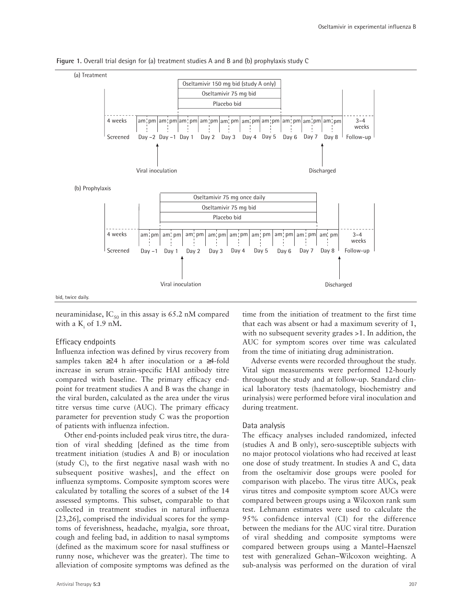

Figure 1. Overall trial design for (a) treatment studies A and B and (b) prophylaxis study C

bid, twice daily.

neuraminidase,  $IC_{50}$  in this assay is 65.2 nM compared with a  $K_i$  of 1.9 nM.

#### Efficacy endpoints

Influenza infection was defined by virus recovery from samples taken ≥24 h after inoculation or a ≥4-fold increase in serum strain-specific HAI antibody titre compared with baseline. The primary efficacy endpoint for treatment studies A and B was the change in the viral burden, calculated as the area under the virus titre versus time curve (AUC). The primary efficacy parameter for prevention study C was the proportion of patients with influenza infection.

Other end-points included peak virus titre, the duration of viral shedding [defined as the time from treatment initiation (studies A and B) or inoculation (study C), to the first negative nasal wash with no subsequent positive washes], and the effect on influenza symptoms. Composite symptom scores were calculated by totalling the scores of a subset of the 14 assessed symptoms. This subset, comparable to that collected in treatment studies in natural influenza [23,26], comprised the individual scores for the symptoms of feverishness, headache, myalgia, sore throat, cough and feeling bad, in addition to nasal symptoms (defined as the maximum score for nasal stuffiness or runny nose, whichever was the greater). The time to alleviation of composite symptoms was defined as the time from the initiation of treatment to the first time that each was absent or had a maximum severity of 1, with no subsequent severity grades >1. In addition, the AUC for symptom scores over time was calculated from the time of initiating drug administration.

Adverse events were recorded throughout the study. Vital sign measurements were performed 12-hourly throughout the study and at follow-up. Standard clinical laboratory tests (haematology, biochemistry and urinalysis) were performed before viral inoculation and during treatment.

#### Data analysis

The efficacy analyses included randomized, infected (studies A and B only), sero-susceptible subjects with no major protocol violations who had received at least one dose of study treatment. In studies A and C, data from the oseltamivir dose groups were pooled for comparison with placebo. The virus titre AUCs, peak virus titres and composite symptom score AUCs were compared between groups using a Wilcoxon rank sum test. Lehmann estimates were used to calculate the 95% confidence interval (CI) for the difference between the medians for the AUC viral titre. Duration of viral shedding and composite symptoms were compared between groups using a Mantel–Haenszel test with generalized Gehan–Wilcoxon weighting. A sub-analysis was performed on the duration of viral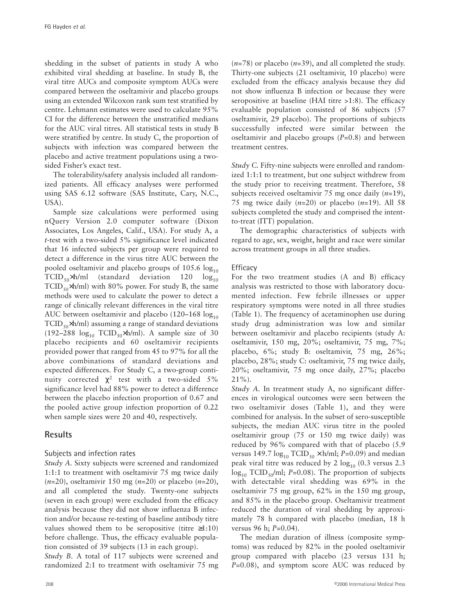shedding in the subset of patients in study A who exhibited viral shedding at baseline. In study B, the viral titre AUCs and composite symptom AUCs were compared between the oseltamivir and placebo groups using an extended Wilcoxon rank sum test stratified by centre. Lehmann estimates were used to calculate 95% CI for the difference between the unstratified medians for the AUC viral titres. All statistical tests in study B were stratified by centre. In study C, the proportion of subjects with infection was compared between the placebo and active treatment populations using a twosided Fisher's exact test.

The tolerability/safety analysis included all randomized patients. All efficacy analyses were performed using SAS 6.12 software (SAS Institute, Cary, N.C., USA).

Sample size calculations were performed using nQuery Version 2.0 computer software (Dixon Associates, Los Angeles, Calif., USA). For study A, a *t*-test with a two-sided 5% significance level indicated that 16 infected subjects per group were required to detect a difference in the virus titre AUC between the pooled oseltamivir and placebo groups of  $105.6 \log_{10}$  $TCID_{50}xh/ml$  (standard deviation 120  $log_{10}$ TCID<sub>50</sub>×h/ml) with 80% power. For study B, the same methods were used to calculate the power to detect a range of clinically relevant differences in the viral titre AUC between oseltamivir and placebo (120–168  $log_{10}$ )  $TCID_{50}xh/ml$ ) assuming a range of standard deviations (192–288  $log_{10}$  TCID<sub>50</sub>×h/ml). A sample size of 30 placebo recipients and 60 oseltamivir recipients provided power that ranged from 45 to 97% for all the above combinations of standard deviations and expected differences. For Study C, a two-group continuity corrected  $\chi^2$  test with a two-sided 5% significance level had 88% power to detect a difference between the placebo infection proportion of 0.67 and the pooled active group infection proportion of 0.22 when sample sizes were 20 and 40, respectively.

# **Results**

## Subjects and infection rates

*Study A.* Sixty subjects were screened and randomized 1:1:1 to treatment with oseltamivir 75 mg twice daily (*n*=20), oseltamivir 150 mg (*n*=20) or placebo (*n*=20), and all completed the study. Twenty-one subjects (seven in each group) were excluded from the efficacy analysis because they did not show influenza B infection and/or because re-testing of baseline antibody titre values showed them to be seropositive (titre  $\geq 1:10$ ) before challenge. Thus, the efficacy evaluable population consisted of 39 subjects (13 in each group).

*Study B.* A total of 117 subjects were screened and randomized 2:1 to treatment with oseltamivir 75 mg

(*n*=78) or placebo (*n*=39), and all completed the study. Thirty-one subjects (21 oseltamivir, 10 placebo) were excluded from the efficacy analysis because they did not show influenza B infection or because they were seropositive at baseline (HAI titre >1:8). The efficacy evaluable population consisted of 86 subjects (57 oseltamivir, 29 placebo). The proportions of subjects successfully infected were similar between the oseltamivir and placebo groups (*P*=0.8) and between treatment centres.

*Study C. Fifty-nine subjects were enrolled and random*ized 1:1:1 to treatment, but one subject withdrew from the study prior to receiving treatment. Therefore, 58 subjects received oseltamivir 75 mg once daily (*n*=19), 75 mg twice daily (*n*=20) or placebo (*n*=19). All 58 subjects completed the study and comprised the intentto-treat (ITT) population.

The demographic characteristics of subjects with regard to age, sex, weight, height and race were similar across treatment groups in all three studies.

## **Efficacy**

For the two treatment studies (A and B) efficacy analysis was restricted to those with laboratory documented infection. Few febrile illnesses or upper respiratory symptoms were noted in all three studies (Table 1). The frequency of acetaminophen use during study drug administration was low and similar between oseltamivir and placebo recipients (study A: oseltamivir, 150 mg, 20%; oseltamivir, 75 mg, 7%; placebo, 6%; study B: oseltamivir, 75 mg, 26%; placebo, 28%; study C: oseltamivir, 75 mg twice daily, 20%; oseltamivir, 75 mg once daily, 27%; placebo 21%).

*Study A.* In treatment study A, no significant differences in virological outcomes were seen between the two oseltamivir doses (Table 1), and they were combined for analysis. In the subset of sero-susceptible subjects, the median AUC virus titre in the pooled oseltamivir group (75 or 150 mg twice daily) was reduced by 96% compared with that of placebo (5.9 versus 149.7  $\log_{10}$  TCID<sub>50</sub> × h/ml; *P*=0.09) and median peak viral titre was reduced by 2  $log_{10}$  (0.3 versus 2.3  $\log_{10}$  TCID<sub>50</sub>/ml; *P*=0.08). The proportion of subjects with detectable viral shedding was 69% in the oseltamivir 75 mg group, 62% in the 150 mg group, and 85% in the placebo group. Oseltamivir treatment reduced the duration of viral shedding by approximately 78 h compared with placebo (median, 18 h versus 96 h; *P*=0.04).

The median duration of illness (composite symptoms) was reduced by 82% in the pooled oseltamivir group compared with placebo (23 versus 131 h; *P*=0.08), and symptom score AUC was reduced by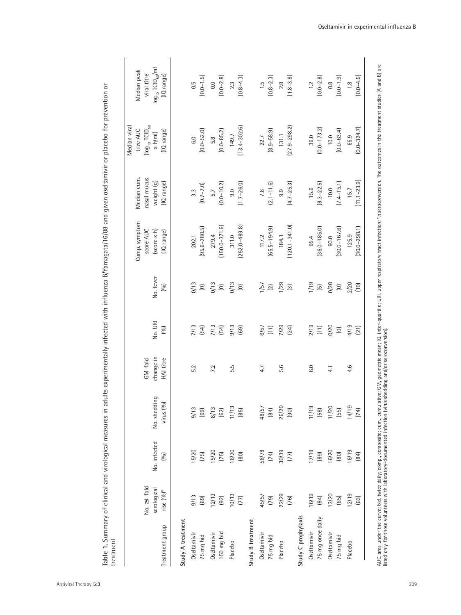|                     |                    |              |                    |            |                                              |                                          |                    |                  | Median viral                          |                                   |
|---------------------|--------------------|--------------|--------------------|------------|----------------------------------------------|------------------------------------------|--------------------|------------------|---------------------------------------|-----------------------------------|
|                     |                    |              |                    |            |                                              |                                          | Comp. symptom      | Median cum.      | titre AUC                             | Median peak                       |
|                     | No. $\geq 4$ -fold |              |                    | $GM$ -fold |                                              |                                          | score AUC          | nasal mucus      | (log <sub>10</sub> TCID <sub>50</sub> | viral titre                       |
|                     | serological        | No. infected | No. shedding       | change in  | No. URI                                      | No. fever                                | $(score \times h)$ | weight (g)       | $\times h/m$ ]                        | $log_{10}$ TCID <sub>50</sub> /ml |
| Treatment group     | rise $(0/0)^*$     | (6)          | virus (%)          | HAI titre  | [%]                                          | (90)                                     | (IQ range)         | (IQ range)       | (IQ range)                            | (IQ range)                        |
| Study A treatment   |                    |              |                    |            |                                              |                                          |                    |                  |                                       |                                   |
| Oseltamivir         | 9/13               | 15/20        | 9/13               | 5.2        | 7/13                                         | 0/13                                     | 202.1              | $3.\overline{3}$ | 6.0                                   | 0.5                               |
| 75 mg bid           | $(69)$             | $(75)$       | $(69)$             |            | $(54)$                                       | $\odot$                                  | $(95.6 - 280.5)$   | $(0.7 - 7.0)$    | $(0.0 - 52.0)$                        | $(0.0 - 1.5)$                     |
| Oseltamivir         | 12/13              | 15/20        | 8/13               | 7.2        | 7/13                                         | 0/13                                     | 279.4              | 5.7              | 5.8                                   | 0.0                               |
| 150 mg bid          | (92)               | $(75)$       | $(62)$             |            | $(54)$                                       | $\widehat{\text{C}}$                     | $(150.0 - 371.6)$  | $(0.0 - 10.2)$   | $(0.0 - 85.2)$                        | $(0.0 - 2.8)$                     |
| Placebo             | 10/13              | 16/20        | 11/13              | 5.5        | 9/13                                         | 0/13                                     | 311.0              | 9.0              | 149.7                                 | 2.3                               |
|                     | $(77)$             | $[80]$       | $(85)$             |            | (69)                                         | $\widehat{\Xi}$                          | $(252.0 - 489.8)$  | $(1.7 - 26.0)$   | $(13.4 - 302.6)$                      | $(0.8 - 4.3)$                     |
| Study B treatment   |                    |              |                    |            |                                              |                                          |                    |                  |                                       |                                   |
| Oseltamivir         | 45/57              | 58/78        | 48/57              | 4.7        | 6/57                                         | 1/57                                     | 117.2              | 7.8              | 22.7                                  | $-1.5$                            |
| 75 mg bid           | (79)               | $(74)$       | $\left( 84\right)$ |            | $\Xi$                                        | $\boxed{2}$                              | $(65.5 - 194.9)$   | $(2.1 - 11.6)$   | $(8.9 - 58.9)$                        | $(0.8 - 2.3)$                     |
| Placebo             | 22/29              | 30/39        | 26/29              | 5.6        | 7/29                                         | 1/29                                     | 184.1              | 9.9              | 131.1                                 | $2.8\,$                           |
|                     | $(76)$             | $(77)$       | $[90]$             |            | (24)                                         | $\boxed{3}$                              | $(120.1 - 341.0)$  | $(4.7 - 25.3)$   | $(27.9 - 298.2)$                      | $(1.8 - 3.8)$                     |
| Study C prophylaxis |                    |              |                    |            |                                              |                                          |                    |                  |                                       |                                   |
| Oseltamivir         | 16/19              | 17/19        | 11/19              | 6.0        | 2/19                                         | 1/19                                     | 95.4               | 15.6             | 36.0                                  | 1.2                               |
| 75 mg once daily    | $^{(84)}$          | $(89)$       | $(58)$             |            | $\begin{array}{c} \boxed{11} \\ \end{array}$ | $\begin{array}{c} \boxed{5} \end{array}$ | $(36.0 - 185.0)$   | $(8.3 - 22.5)$   | $(0.0 - 173.2)$                       | $(0.0 - 2.8)$                     |
| Oseltamivir         | 13/20              | 16/20        | 11/20              | 4.1        | 0/20                                         | 0/20                                     | 90.0               | 10.0             | 10.0                                  | 0.8                               |
| 75 mg bid           | $(65)$             | $[80]$       | $(55)$             |            | $\odot$                                      | $\widehat{\Xi}$                          | $(30.0 - 167.6)$   | $(7.4 - 15.1)$   | $(0.0 - 63.4)$                        | $(0.0 - 1.9)$                     |
| Placebo             | 12/19              | 16/19        | 14/19              | 4.6        | 4/19                                         | 2/20                                     | 125.9              | 15.7             | 66.9                                  | 1.8                               |
|                     | $(63)$             | (84)         | (74)               |            | (21)                                         | (10)                                     | $(30.0 - 298.1)$   | $(11.1 - 23.9)$  | $(0.0 - 324.7)$                       | $(0.0 - 4.5)$                     |

Table 1. Summary of clinical and virological measures in adults experimentally infected with influenza B/Yamagata/16/88 and given oseltamivir or placebo for prevention or **Table 1.** Summary of clinical and virological measures in adults experimentally infected with influenza B/Yamagata/16/88 and given oseltamivir or placebo for prevention or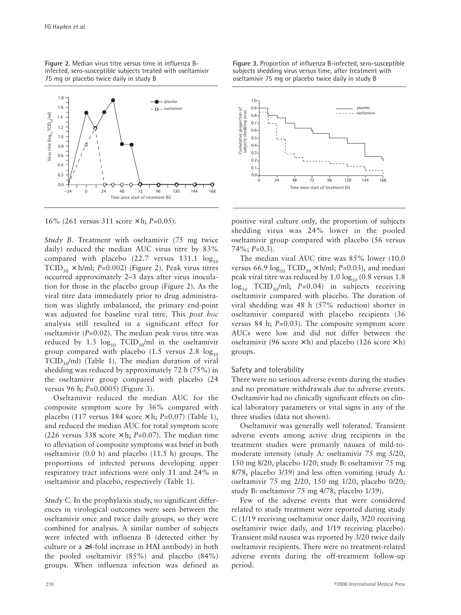**Figure 2.** Median virus titre versus time in influenza Binfected, sero-susceptible subjects treated with oseltamivir 75 mg or placebo twice daily in study B



16% (261 versus 311 score × h; *P*=0.05).

*Study B.* Treatment with oseltamivir (75 mg twice daily) reduced the median AUC virus titre by 83% compared with placebo (22.7 versus 131.1  $log_{10}$ TCID<sub>50</sub>  $\times$  h/ml; *P*=0.002) (Figure 2). Peak virus titres occurred approximately 2–3 days after virus inoculation for those in the placebo group (Figure 2). As the viral titre data immediately prior to drug administration was slightly imbalanced, the primary end-point was adjusted for baseline viral titre. This *post hoc* analysis still resulted in a significant effect for oseltamivir (*P*=0.02). The median peak virus titre was reduced by 1.3  $log_{10}$  TCID<sub>50</sub>/ml in the oseltamivir group compared with placebo (1.5 versus 2.8  $log_{10}$  $TCID_{50}/ml$ ) (Table 1). The median duration of viral shedding was reduced by approximately 72 h (75%) in the oseltamivir group compared with placebo (24 versus 96 h; *P*=0.0005) (Figure 3).

Oseltamivir reduced the median AUC for the composite symptom score by 36% compared with placebo (117 versus 184 score × h; *P*=0.07) (Table 1), and reduced the median AUC for total symptom score (226 versus 338 score  $\times$  h; *P*=0.07). The median time to alleviation of composite symptoms was brief in both oseltamivir (0.0 h) and placebo (11.5 h) groups. The proportions of infected persons developing upper respiratory tract infections were only 11 and 24% in oseltamivir and placebo, respectively (Table 1).

*Study C. In the prophylaxis study, no significant differ*ences in virological outcomes were seen between the oseltamivir once and twice daily groups, so they were combined for analysis. A similar number of subjects were infected with influenza B (detected either by culture or a ≥4-fold increase in HAI antibody) in both the pooled oseltamivir (85%) and placebo (84%) groups. When influenza infection was defined as **Figure 3.** Proportion of influenza B-infected, sero-susceptible subjects shedding virus versus time, after treatment with oseltamivir 75 mg or placebo twice daily in study B



positive viral culture only, the proportion of subjects shedding virus was 24% lower in the pooled oseltamivir group compared with placebo (56 versus 74%; *P*=0.3).

The median viral AUC titre was 85% lower (10.0 versus 66.9  $log_{10} TCID_{50} \times h/ml$ ; *P*=0.03), and median peak viral titre was reduced by  $1.0 \log_{10} (0.8 \text{ versus } 1.8$  $log_{10}$  TCID<sub>50</sub>/ml; *P*=0.04) in subjects receiving oseltamivir compared with placebo. The duration of viral shedding was 48 h (57% reduction) shorter in oseltamivir compared with placebo recipients (36 versus 84 h; *P*=0.03). The composite symptom score AUCs were low and did not differ between the oseltamivir (96 score  $\times$  h) and placebo (126 score  $\times$  h) groups.

#### Safety and tolerability

There were no serious adverse events during the studies and no premature withdrawals due to adverse events. Oseltamivir had no clinically significant effects on clinical laboratory parameters or vital signs in any of the three studies (data not shown).

Oseltamivir was generally well tolerated. Transient adverse events among active drug recipients in the treatment studies were primarily nausea of mild-tomoderate intensity (study A: oseltamivir 75 mg 5/20, 150 mg 8/20, placebo 1/20; study B: oseltamivir 75 mg 8/78, placebo 3/39) and less often vomiting (study A: oseltamivir 75 mg 2/20, 150 mg 1/20, placebo 0/20; study B: oseltamivir 75 mg 4/78, placebo 1/39).

Few of the adverse events that were considered related to study treatment were reported during study C (1/19 receiving oseltamivir once daily, 3/20 receiving oseltamivir twice daily, and 1/19 receiving placebo). Transient mild nausea was reported by 3/20 twice daily oseltamivir recipients. There were no treatment-related adverse events during the off-treatment follow-up period.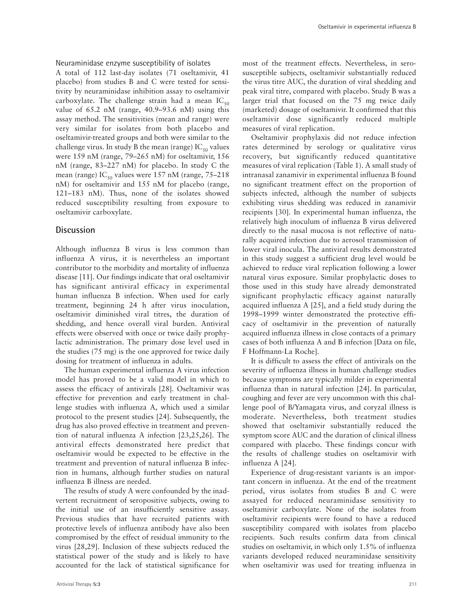Neuraminidase enzyme susceptibility of isolates

A total of 112 last-day isolates (71 oseltamivir, 41 placebo) from studies B and C were tested for sensitivity by neuraminidase inhibition assay to oseltamivir carboxylate. The challenge strain had a mean  $IC_{50}$ value of 65.2 nM (range, 40.9–93.6 nM) using this assay method. The sensitivities (mean and range) were very similar for isolates from both placebo and oseltamivir-treated groups and both were similar to the challenge virus. In study B the mean (range)  $IC_{50}$  values were 159 nM (range, 79–265 nM) for oseltamivir, 156 nM (range, 83–227 nM) for placebo. In study C the mean (range)  $IC_{50}$  values were 157 nM (range, 75–218) nM) for oseltamivir and 155 nM for placebo (range, 121–183 nM). Thus, none of the isolates showed reduced susceptibility resulting from exposure to oseltamivir carboxylate.

## **Discussion**

Although influenza B virus is less common than influenza A virus, it is nevertheless an important contributor to the morbidity and mortality of influenza disease [11]. Our findings indicate that oral oseltamivir has significant antiviral efficacy in experimental human influenza B infection. When used for early treatment, beginning 24 h after virus inoculation, oseltamivir diminished viral titres, the duration of shedding, and hence overall viral burden. Antiviral effects were observed with once or twice daily prophylactic administration. The primary dose level used in the studies (75 mg) is the one approved for twice daily dosing for treatment of influenza in adults.

The human experimental influenza A virus infection model has proved to be a valid model in which to assess the efficacy of antivirals [28]. Oseltamivir was effective for prevention and early treatment in challenge studies with influenza A, which used a similar protocol to the present studies [24]. Subsequently, the drug has also proved effective in treatment and prevention of natural influenza A infection [23,25,26]. The antiviral effects demonstrated here predict that oseltamivir would be expected to be effective in the treatment and prevention of natural influenza B infection in humans, although further studies on natural influenza B illness are needed.

The results of study A were confounded by the inadvertent recruitment of seropositive subjects, owing to the initial use of an insufficiently sensitive assay. Previous studies that have recruited patients with protective levels of influenza antibody have also been compromised by the effect of residual immunity to the virus [28,29]. Inclusion of these subjects reduced the statistical power of the study and is likely to have accounted for the lack of statistical significance for

most of the treatment effects. Nevertheless, in serosusceptible subjects, oseltamivir substantially reduced the virus titre AUC, the duration of viral shedding and peak viral titre, compared with placebo. Study B was a larger trial that focused on the 75 mg twice daily (marketed) dosage of oseltamivir. It confirmed that this oseltamivir dose significantly reduced multiple measures of viral replication.

Oseltamivir prophylaxis did not reduce infection rates determined by serology or qualitative virus recovery, but significantly reduced quantitative measures of viral replication (Table 1). A small study of intranasal zanamivir in experimental influenza B found no significant treatment effect on the proportion of subjects infected, although the number of subjects exhibiting virus shedding was reduced in zanamivir recipients [30]. In experimental human influenza, the relatively high inoculum of influenza B virus delivered directly to the nasal mucosa is not reflective of naturally acquired infection due to aerosol transmission of lower viral inocula. The antiviral results demonstrated in this study suggest a sufficient drug level would be achieved to reduce viral replication following a lower natural virus exposure. Similar prophylactic doses to those used in this study have already demonstrated significant prophylactic efficacy against naturally acquired influenza A [25], and a field study during the 1998–1999 winter demonstrated the protective efficacy of oseltamivir in the prevention of naturally acquired influenza illness in close contacts of a primary cases of both influenza A and B infection [Data on file, F Hoffmann-La Roche].

It is difficult to assess the effect of antivirals on the severity of influenza illness in human challenge studies because symptoms are typically milder in experimental influenza than in natural infection [24]. In particular, coughing and fever are very uncommon with this challenge pool of B/Yamagata virus, and coryzal illness is moderate. Nevertheless, both treatment studies showed that oseltamivir substantially reduced the symptom score AUC and the duration of clinical illness compared with placebo. These findings concur with the results of challenge studies on oseltamivir with influenza A [24].

Experience of drug-resistant variants is an important concern in influenza. At the end of the treatment period, virus isolates from studies B and C were assayed for reduced neuraminidase sensitivity to oseltamivir carboxylate. None of the isolates from oseltamivir recipients were found to have a reduced susceptibility compared with isolates from placebo recipients. Such results confirm data from clinical studies on oseltamivir, in which only 1.5% of influenza variants developed reduced neuraminidase sensitivity when oseltamivir was used for treating influenza in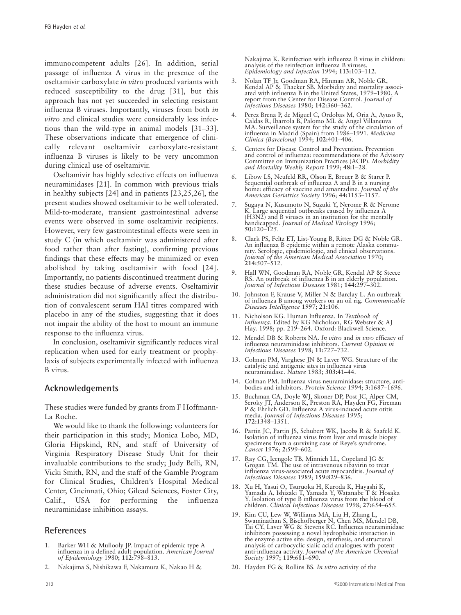immunocompetent adults [26]. In addition, serial passage of influenza A virus in the presence of the oseltamivir carboxylate *in vitro* produced variants with reduced susceptibility to the drug [31], but this approach has not yet succeeded in selecting resistant influenza B viruses. Importantly, viruses from both *in vitro* and clinical studies were considerably less infectious than the wild-type in animal models [31–33]. These observations indicate that emergence of clinically relevant oseltamivir carboxylate-resistant influenza B viruses is likely to be very uncommon during clinical use of oseltamivir.

Oseltamivir has highly selective effects on influenza neuraminidases [21]. In common with previous trials in healthy subjects [24] and in patients [23,25,26], the present studies showed oseltamivir to be well tolerated. Mild-to-moderate, transient gastrointestinal adverse events were observed in some oseltamivir recipients. However, very few gastrointestinal effects were seen in study C (in which oseltamivir was administered after food rather than after fasting), confirming previous findings that these effects may be minimized or even abolished by taking oseltamivir with food [24]. Importantly, no patients discontinued treatment during these studies because of adverse events. Oseltamivir administration did not significantly affect the distribution of convalescent serum HAI titres compared with placebo in any of the studies, suggesting that it does not impair the ability of the host to mount an immune response to the influenza virus.

In conclusion, oseltamivir significantly reduces viral replication when used for early treatment or prophylaxis of subjects experimentally infected with influenza B virus.

## **Acknowledgements**

These studies were funded by grants from F Hoffmann-La Roche.

We would like to thank the following: volunteers for their participation in this study; Monica Lobo, MD, Gloria Hipskind, RN, and staff of University of Virginia Respiratory Disease Study Unit for their invaluable contributions to the study; Judy Belli, RN, Vicki Smith, RN, and the staff of the Gamble Program for Clinical Studies, Children's Hospital Medical Center, Cincinnati, Ohio; Gilead Sciences, Foster City, Calif., USA for performing the influenza neuraminidase inhibition assays.

# **References**

- 1. Barker WH & Mullooly JP. Impact of epidemic type A influenza in a defined adult population. *American Journal of Epidemiology* 1980; **112:**798–813.
- 2. Nakajima S, Nishikawa F, Nakamura K, Nakao H &

Nakajima K. Reinfection with influenza B virus in children: analysis of the reinfection influenza B viruses. *Epidemiology and Infection* 1994; **113:**103–112.

- 3. Nolan TF Jr, Goodman RA, Hinman AR, Noble GR, Kendal AP & Thacker SB. Morbidity and mortality associated with influenza B in the United States, 1979–1980. A report from the Center for Disease Control. *Journal of Infectious Diseases* 1980; **142:**360–362.
- 4. Perez Brena P, de Miguel C, Ordobas M, Oria A, Ayuso R, Caldas R, Ibarrola B, Palomo ML & Angel Villaneuva MA. Surveillance system for the study of the circulation of influenza in Madrid (Spain) from 1986–1991. *Medicina Clinica (Barcelona)* 1994; **102:**401–406.
- 5. Centers for Disease Control and Prevention. Prevention and control of influenza: recommendations of the Advisory Committee on Immunization Practices (ACIP). *Morbidity and Mortality Weekly Report* 1999; **48:**1–28.
- 6. Libow LS, Neufeld RR, Olson E, Breuer B & Starer P. Sequential outbreak of influenza A and B in a nursing home: efficacy of vaccine and amantadine. *Journal of the American Geriatrics Society* 1996; **44:**1153–1157.
- 7. Sugaya N, Kusumoto N, Suzuki Y, Nerome R & Nerome K. Large sequential outbreaks caused by influenza A (H3N2) and B viruses in an institution for the mentally handicapped. *Journal of Medical Virology* 1996; **50:**120–125.
- 8. Clark PS, Feltz ET, List-Young B, Ritter DG & Noble GR. An influenza B epidemic within a remote Alaska community. Serologic, epidemiologic, and clinical observations. *Journal of the American Medical Association* 1970; **214:**507–512.
- 9. Hall WN, Goodman RA, Noble GR, Kendal AP & Steece RS. An outbreak of influenza B in an elderly population. *Journal of Infectious Diseases* 1981; **144:**297–302.
- 10. Johnston F, Krause V, Miller N & Barclay L. An outbreak of influenza B among workers on an oil rig. *Communicable Diseases Intelligence* 1997; **21:**106.
- 11. Nicholson KG. Human Influenza. In *Textbook of Influenza*. Edited by KG Nicholson, RG Webster & AJ Hay. 1998; pp. 219–264. Oxford: Blackwell Science.
- 12. Mendel DB & Roberts NA. *In vitro* and *in vivo* efficacy of influenza neuraminidase inhibitors. *Current Opinion in Infectious Diseases* 1998; **11:**727–732.
- 13. Colman PM, Varghese JN & Laver WG. Structure of the catalytic and antigenic sites in influenza virus neuraminidase. *Nature* 1983; **303:**41–44.
- 14. Colman PM. Influenza virus neuraminidase: structure, antibodies and inhibitors. *Protein Science* 1994; **3:**1687–1696.
- 15. Buchman CA, Doyle WJ, Skoner DP, Post JC, Alper CM, Seroky JT, Anderson K, Preston RA, Hayden FG, Fireman P & Ehrlich GD. Influenza A virus-induced acute otitis media. *Journal of Infectious Diseases* 1995; **172:**1348–1351.
- 16. Partin JC, Partin JS, Schubert WK, Jacobs R & Saafeld K. Isolation of influenza virus from liver and muscle biopsy specimens from a surviving case of Reye's syndrome. *Lancet* 1976; **2:**599–602.
- 17. Ray CG, Icengole TB, Minnich LL, Copeland JG & Grogan TM. The use of intravenous ribavirin to treat influenza virus-associated acute myocarditis. *Journal of Infectious Diseases* 1989; **159:**829–836.
- 18. Xu H, Yasui O, Tsuruoka H, Kuroda K, Hayashi K, Yamada A, Ishizaki T, Yamada Y, Watanabe T & Hosaka Y. Isolation of type B influenza virus from the blood of children. *Clinical Infectious Diseases* 1998; **27:**654–655.
- 19. Kim CU, Lew W, Williams MA, Liu H, Zhang L, Swaminathan S, Bischofberger N, Chen MS, Mendel DB, Tai CY, Laver WG & Stevens RC. Influenza neuraminidase inhibitors possessing a novel hydrophobic interaction in the enzyme active site: design, synthesis, and structural analysis of carbocyclic sialic acid analogues with potent anti-influenza activity. *Journal of the American Chemical Society* 1997; **119:**681–690.
- 20. Hayden FG & Rollins BS. *In vitro* activity of the